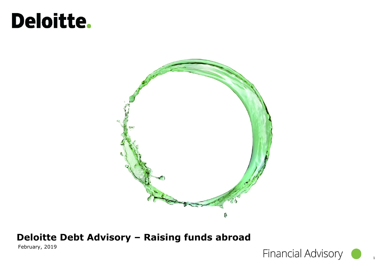# Deloitte.



### **Deloitte Debt Advisory – Raising funds abroad**

February, 2019

**Financial Advisory**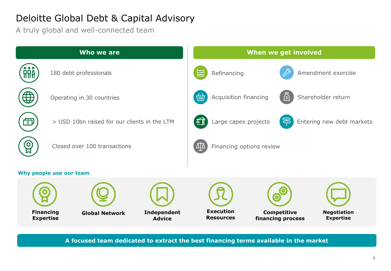### Deloitte Global Debt & Capital Advisory

A truly global and well-connected team

| Who we are                           |                                              |                              |             | When we get involved                                        |                                         |                                        |  |
|--------------------------------------|----------------------------------------------|------------------------------|-------------|-------------------------------------------------------------|-----------------------------------------|----------------------------------------|--|
| $\bullet$ $\bullet$<br><b>RRA</b>    | 180 debt professionals                       |                              | $\Xi$       | Refinancing                                                 |                                         | Amendment exercise                     |  |
| ⊕                                    | Operating in 30 countries                    |                              | <b>WIII</b> | Acquisition financing                                       | $\mathcal{S}$                           | Shareholder return                     |  |
| ाऽा                                  | > USD 10bn raised for our clients in the LTM |                              |             | 몸<br>鱼<br>Entering new debt markets<br>Large capex projects |                                         |                                        |  |
| $\mathbf{O}$                         | Closed over 100 transactions                 |                              |             | $\Delta\Delta$<br>Financing options review                  |                                         |                                        |  |
| Why people use our team              |                                              |                              |             |                                                             |                                         |                                        |  |
| <b>Financing</b><br><b>Expertise</b> | <b>Global Network</b>                        | Independent<br><b>Advice</b> |             | <b>Execution</b><br><b>Resources</b>                        | <b>Competitive</b><br>financing process | <b>Negotiation</b><br><b>Expertise</b> |  |

**A focused team dedicated to extract the best financing terms available in the market**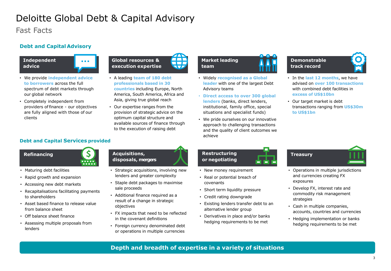### Deloitte Global Debt & Capital Advisory

Fast Facts

#### **Debt and Capital Advisory**

**Independent advice**

- **Global resources & execution expertise**
- We provide **independent advice to borrowers** across the full spectrum of debt markets through our global network
- Completely independent from providers of finance - our objectives are fully aligned with those of our clients

#### **Debt and Capital Services provided**





- Maturing debt facilities
- Rapid growth and expansion
- Accessing new debt markets
- Recapitalisations facilitating payments to shareholders
- Asset based finance to release value from balance sheet
- Off balance sheet finance
- Assessing multiple proposals from lenders

#### **Acquisitions, disposals, mergers**

• A leading **team of 180 debt professionals based in 30 countries** including Europe, North America, South America, Africa and Asia, giving true global reach • Our expertise ranges from the provision of strategic advice on the optimum capital structure and available sources of finance through to the execution of raising debt

W

- Strategic acquisitions, involving new lenders and greater complexity
- Staple debt packages to maximise sale proceeds
- Additional finance required as a result of a change in strategic objectives
- FX impacts that need to be reflected in the covenant definitions
- Foreign currency denominated debt or operations in multiple currencies

### **Market leading team**

**Restructuring or negotiating**

covenants

• New money requirement • Real or potential breach of

• Short term liquidity pressure • Credit rating downgrade

alternative lender group

• Existing lenders transfer debt to an

• Derivatives in place and/or banks hedging requirements to be met

- Widely **recognised as a Global leader** with one of the largest Debt Advisory teams
- **Direct access to over 300 global lenders** (banks, direct lenders, institutional, family office, special situations and specialist funds)
- We pride ourselves on our innovative approach to challenging transactions and the quality of client outcomes we achieve

### **Demonstrable track record**

- In the **last 12 months**, we have advised on **over 100 transactions**  with combined debt facilities in **excess of US\$10bn**
- Our target market is debt transactions ranging from **US\$30m to US\$1bn**

### **Treasury**

- Operations in multiple jurisdictions and currencies creating FX exposures
- Develop FX, interest rate and commodity risk management strategies
- Cash in multiple companies, accounts, countries and currencies
- Hedging implementation or banks hedging requirements to be met

### **Depth and breadth of expertise in a variety of situations**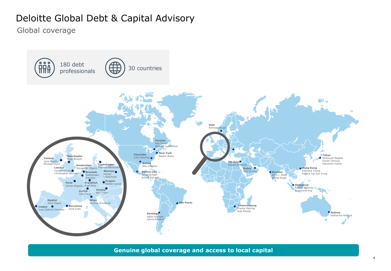### Deloitte Global Debt & Capital Advisory

Global coverage



**Genuine global coverage and access to local capital**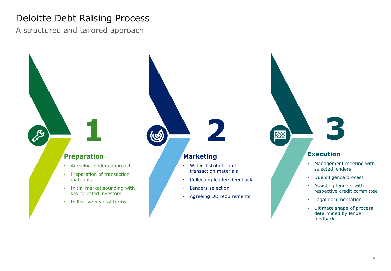### Deloitte Debt Raising Process

A structured and tailored approach

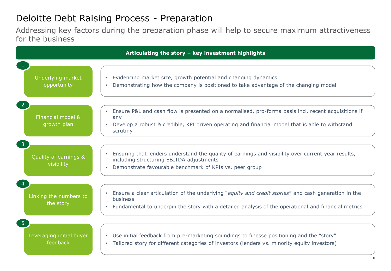### Deloitte Debt Raising Process - Preparation

Addressing key factors during the preparation phase will help to secure maximum attractiveness for the business

| Articulating the story - key investment highlights     |                                                                                                                                                                                                                           |  |  |  |  |  |
|--------------------------------------------------------|---------------------------------------------------------------------------------------------------------------------------------------------------------------------------------------------------------------------------|--|--|--|--|--|
| Underlying market<br>opportunity                       | • Evidencing market size, growth potential and changing dynamics<br>Demonstrating how the company is positioned to take advantage of the changing model                                                                   |  |  |  |  |  |
| $\sqrt{2}$<br>Financial model &<br>growth plan         | Ensure P&L and cash flow is presented on a normalised, pro-forma basis incl. recent acquisitions if<br>any<br>Develop a robust & credible, KPI driven operating and financial model that is able to withstand<br>scrutiny |  |  |  |  |  |
| 3 <sup>2</sup><br>Quality of earnings &<br>visibility  | Ensuring that lenders understand the quality of earnings and visibility over current year results,<br>including structuring EBITDA adjustments<br>Demonstrate favourable benchmark of KPIs vs. peer group                 |  |  |  |  |  |
| Linking the numbers to<br>the story                    | Ensure a clear articulation of the underlying "equity and credit stories" and cash generation in the<br>business<br>Fundamental to underpin the story with a detailed analysis of the operational and financial metrics   |  |  |  |  |  |
| 5 <sup>5</sup><br>Leveraging initial buyer<br>feedback | • Use initial feedback from pre-marketing soundings to finesse positioning and the "story"<br>• Tailored story for different categories of investors (lenders vs. minority equity investors)                              |  |  |  |  |  |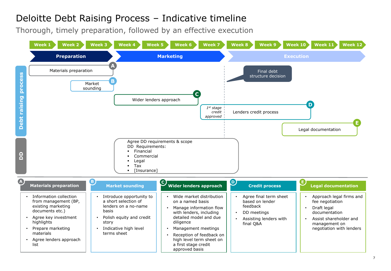### Deloitte Debt Raising Process – Indicative timeline

Thorough, timely preparation, followed by an effective execution

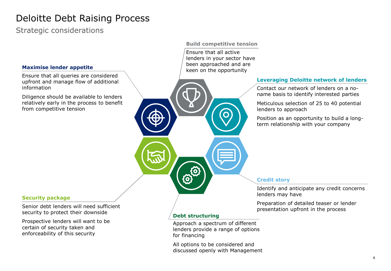### Deloitte Debt Raising Process

Strategic considerations

#### **Maximise lender appetite**

Ensure that all queries are considered upfront and manage flow of additional information

Diligence should be available to lenders relatively early in the process to benefit from competitive tension

#### **Build competitive tension**

Ensure that all active lenders in your sector have been approached and are keen on the opportunity

#### **Leveraging Deloitte network of lenders**

Contact our network of lenders on a noname basis to identify interested parties

Meticulous selection of 25 to 40 potential lenders to approach

Position as an opportunity to build a longterm relationship with your company

#### **Security package**

Senior debt lenders will need sufficient security to protect their downside

Prospective lenders will want to be certain of security taken and enforceability of this security

#### **Credit story**

Identify and anticipate any credit concerns lenders may have

Preparation of detailed teaser or lender presentation upfront in the process

#### **Debt structuring**

Approach a spectrum of different lenders provide a range of options for financing

All options to be considered and discussed openly with Management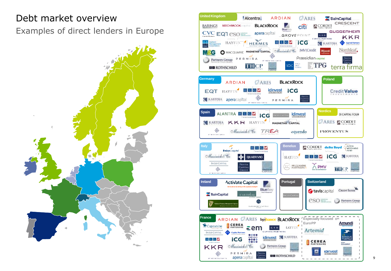### Debt market overview

Examples of direct lenders in Europe



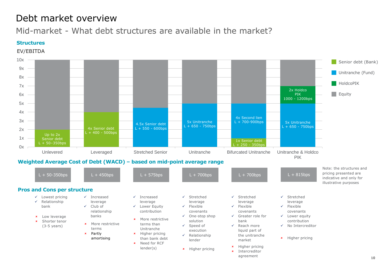### Debt market overview

Mid-market - What debt structures are available in the market?

#### **Structures**

EV/EBITDA